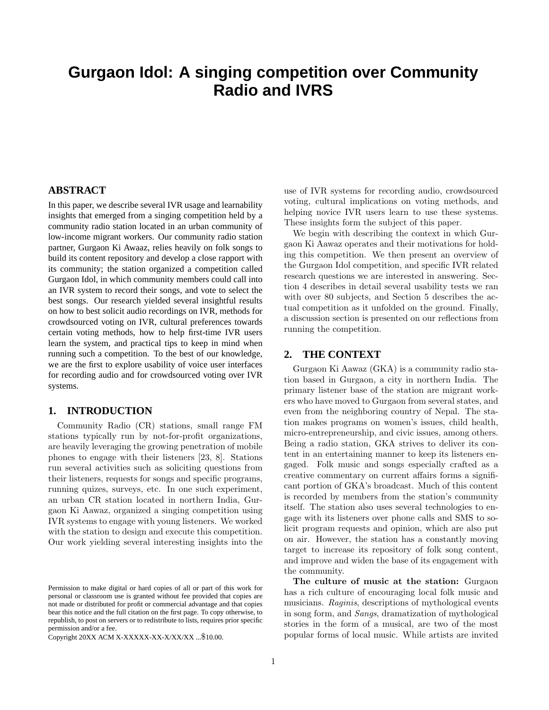# **Gurgaon Idol: A singing competition over Community Radio and IVRS**

# **ABSTRACT**

In this paper, we describe several IVR usage and learnability insights that emerged from a singing competition held by a community radio station located in an urban community of low-income migrant workers. Our community radio station partner, Gurgaon Ki Awaaz, relies heavily on folk songs to build its content repository and develop a close rapport with its community; the station organized a competition called Gurgaon Idol, in which community members could call into an IVR system to record their songs, and vote to select the best songs. Our research yielded several insightful results on how to best solicit audio recordings on IVR, methods for crowdsourced voting on IVR, cultural preferences towards certain voting methods, how to help first-time IVR users learn the system, and practical tips to keep in mind when running such a competition. To the best of our knowledge, we are the first to explore usability of voice user interfaces for recording audio and for crowdsourced voting over IVR systems.

# **1. INTRODUCTION**

Community Radio (CR) stations, small range FM stations typically run by not-for-profit organizations, are heavily leveraging the growing penetration of mobile phones to engage with their listeners [23, 8]. Stations run several activities such as soliciting questions from their listeners, requests for songs and specific programs, running quizes, surveys, etc. In one such experiment, an urban CR station located in northern India, Gurgaon Ki Aawaz, organized a singing competition using IVR systems to engage with young listeners. We worked with the station to design and execute this competition. Our work yielding several interesting insights into the use of IVR systems for recording audio, crowdsourced voting, cultural implications on voting methods, and helping novice IVR users learn to use these systems. These insights form the subject of this paper.

We begin with describing the context in which Gurgaon Ki Aawaz operates and their motivations for holding this competition. We then present an overview of the Gurgaon Idol competition, and specific IVR related research questions we are interested in answering. Section 4 describes in detail several usability tests we ran with over 80 subjects, and Section 5 describes the actual competition as it unfolded on the ground. Finally, a discussion section is presented on our reflections from running the competition.

# **2. THE CONTEXT**

Gurgaon Ki Aawaz (GKA) is a community radio station based in Gurgaon, a city in northern India. The primary listener base of the station are migrant workers who have moved to Gurgaon from several states, and even from the neighboring country of Nepal. The station makes programs on women's issues, child health, micro-entrepreneurship, and civic issues, among others. Being a radio station, GKA strives to deliver its content in an entertaining manner to keep its listeners engaged. Folk music and songs especially crafted as a creative commentary on current affairs forms a significant portion of GKA's broadcast. Much of this content is recorded by members from the station's community itself. The station also uses several technologies to engage with its listeners over phone calls and SMS to solicit program requests and opinion, which are also put on air. However, the station has a constantly moving target to increase its repository of folk song content, and improve and widen the base of its engagement with the community.

The culture of music at the station: Gurgaon has a rich culture of encouraging local folk music and musicians. Raginis, descriptions of mythological events in song form, and Sangs, dramatization of mythological stories in the form of a musical, are two of the most popular forms of local music. While artists are invited

Permission to make digital or hard copies of all or part of this work for personal or classroom use is granted without fee provided that copies are not made or distributed for profit or commercial advantage and that copies bear this notice and the full citation on the first page. To copy otherwise, to republish, to post on servers or to redistribute to lists, requires prior specific permission and/or a fee.

Copyright 20XX ACM X-XXXXX-XX-X/XX/XX ...\$10.00.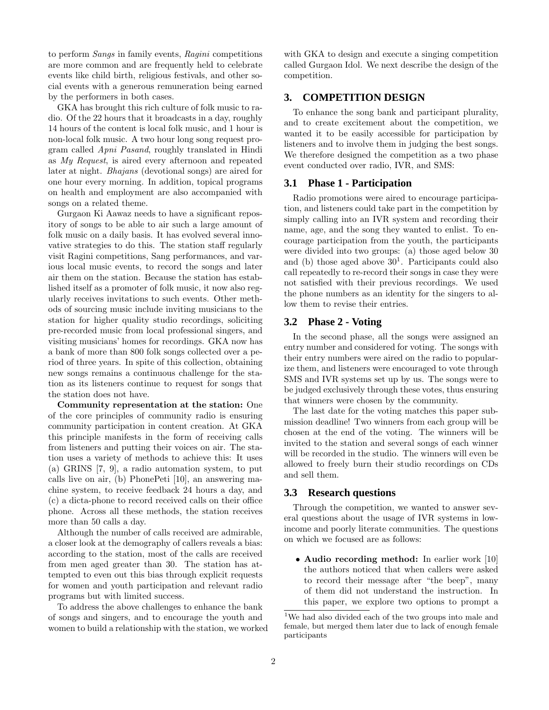to perform Sangs in family events, Ragini competitions are more common and are frequently held to celebrate events like child birth, religious festivals, and other social events with a generous remuneration being earned by the performers in both cases.

GKA has brought this rich culture of folk music to radio. Of the 22 hours that it broadcasts in a day, roughly 14 hours of the content is local folk music, and 1 hour is non-local folk music. A two hour long song request program called Apni Pasand, roughly translated in Hindi as My Request, is aired every afternoon and repeated later at night. Bhajans (devotional songs) are aired for one hour every morning. In addition, topical programs on health and employment are also accompanied with songs on a related theme.

Gurgaon Ki Aawaz needs to have a significant repository of songs to be able to air such a large amount of folk music on a daily basis. It has evolved several innovative strategies to do this. The station staff regularly visit Ragini competitions, Sang performances, and various local music events, to record the songs and later air them on the station. Because the station has established itself as a promoter of folk music, it now also regularly receives invitations to such events. Other methods of sourcing music include inviting musicians to the station for higher quality studio recordings, soliciting pre-recorded music from local professional singers, and visiting musicians' homes for recordings. GKA now has a bank of more than 800 folk songs collected over a period of three years. In spite of this collection, obtaining new songs remains a continuous challenge for the station as its listeners continue to request for songs that the station does not have.

Community representation at the station: One of the core principles of community radio is ensuring community participation in content creation. At GKA this principle manifests in the form of receiving calls from listeners and putting their voices on air. The station uses a variety of methods to achieve this: It uses (a) GRINS [7, 9], a radio automation system, to put calls live on air, (b) PhonePeti [10], an answering machine system, to receive feedback 24 hours a day, and (c) a dicta-phone to record received calls on their office phone. Across all these methods, the station receives more than 50 calls a day.

Although the number of calls received are admirable, a closer look at the demography of callers reveals a bias: according to the station, most of the calls are received from men aged greater than 30. The station has attempted to even out this bias through explicit requests for women and youth participation and relevant radio programs but with limited success.

To address the above challenges to enhance the bank of songs and singers, and to encourage the youth and women to build a relationship with the station, we worked with GKA to design and execute a singing competition called Gurgaon Idol. We next describe the design of the competition.

#### **3. COMPETITION DESIGN**

To enhance the song bank and participant plurality, and to create excitement about the competition, we wanted it to be easily accessible for participation by listeners and to involve them in judging the best songs. We therefore designed the competition as a two phase event conducted over radio, IVR, and SMS:

#### **3.1 Phase 1 - Participation**

Radio promotions were aired to encourage participation, and listeners could take part in the competition by simply calling into an IVR system and recording their name, age, and the song they wanted to enlist. To encourage participation from the youth, the participants were divided into two groups: (a) those aged below 30 and (b) those aged above  $30<sup>1</sup>$ . Participants could also call repeatedly to re-record their songs in case they were not satisfied with their previous recordings. We used the phone numbers as an identity for the singers to allow them to revise their entries.

#### **3.2 Phase 2 - Voting**

In the second phase, all the songs were assigned an entry number and considered for voting. The songs with their entry numbers were aired on the radio to popularize them, and listeners were encouraged to vote through SMS and IVR systems set up by us. The songs were to be judged exclusively through these votes, thus ensuring that winners were chosen by the community.

The last date for the voting matches this paper submission deadline! Two winners from each group will be chosen at the end of the voting. The winners will be invited to the station and several songs of each winner will be recorded in the studio. The winners will even be allowed to freely burn their studio recordings on CDs and sell them.

# **3.3 Research questions**

Through the competition, we wanted to answer several questions about the usage of IVR systems in lowincome and poorly literate communities. The questions on which we focused are as follows:

• Audio recording method: In earlier work [10] the authors noticed that when callers were asked to record their message after "the beep", many of them did not understand the instruction. In this paper, we explore two options to prompt a

<sup>1</sup>We had also divided each of the two groups into male and female, but merged them later due to lack of enough female participants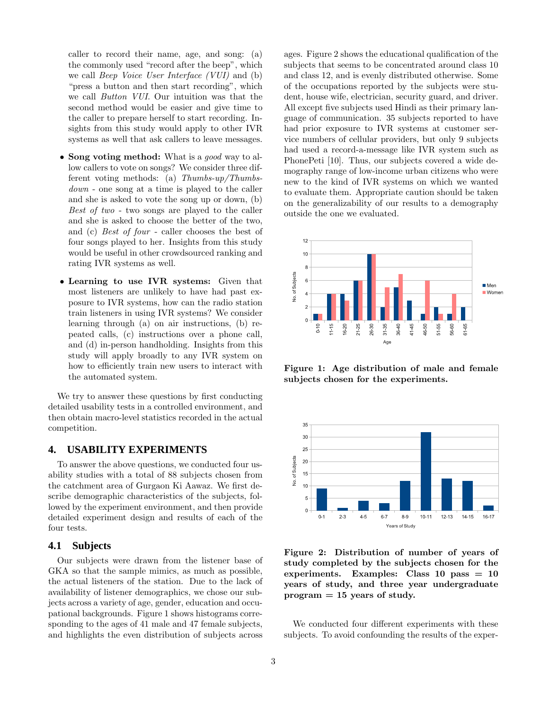caller to record their name, age, and song: (a) the commonly used "record after the beep", which we call Beep Voice User Interface (VUI) and (b) "press a button and then start recording", which we call Button VUI. Our intuition was that the second method would be easier and give time to the caller to prepare herself to start recording. Insights from this study would apply to other IVR systems as well that ask callers to leave messages.

- Song voting method: What is a good way to allow callers to vote on songs? We consider three different voting methods: (a) Thumbs-up/Thumbsdown - one song at a time is played to the caller and she is asked to vote the song up or down, (b) Best of two - two songs are played to the caller and she is asked to choose the better of the two, and (c) Best of four - caller chooses the best of four songs played to her. Insights from this study would be useful in other crowdsourced ranking and rating IVR systems as well.
- Learning to use IVR systems: Given that most listeners are unlikely to have had past exposure to IVR systems, how can the radio station train listeners in using IVR systems? We consider learning through (a) on air instructions, (b) repeated calls, (c) instructions over a phone call, and (d) in-person handholding. Insights from this study will apply broadly to any IVR system on how to efficiently train new users to interact with the automated system.

We try to answer these questions by first conducting detailed usability tests in a controlled environment, and then obtain macro-level statistics recorded in the actual competition.

#### **4. USABILITY EXPERIMENTS**

To answer the above questions, we conducted four usability studies with a total of 88 subjects chosen from the catchment area of Gurgaon Ki Aawaz. We first describe demographic characteristics of the subjects, followed by the experiment environment, and then provide detailed experiment design and results of each of the four tests.

# **4.1 Subjects**

Our subjects were drawn from the listener base of GKA so that the sample mimics, as much as possible, the actual listeners of the station. Due to the lack of availability of listener demographics, we chose our subjects across a variety of age, gender, education and occupational backgrounds. Figure 1 shows histograms corresponding to the ages of 41 male and 47 female subjects, and highlights the even distribution of subjects across

ages. Figure 2 shows the educational qualification of the subjects that seems to be concentrated around class 10 and class 12, and is evenly distributed otherwise. Some of the occupations reported by the subjects were student, house wife, electrician, security guard, and driver. All except five subjects used Hindi as their primary language of communication. 35 subjects reported to have had prior exposure to IVR systems at customer service numbers of cellular providers, but only 9 subjects had used a record-a-message like IVR system such as PhonePeti [10]. Thus, our subjects covered a wide demography range of low-income urban citizens who were new to the kind of IVR systems on which we wanted to evaluate them. Appropriate caution should be taken on the generalizability of our results to a demography outside the one we evaluated.



Figure 1: Age distribution of male and female subjects chosen for the experiments.



Figure 2: Distribution of number of years of study completed by the subjects chosen for the experiments. Examples: Class 10 pass = 10 years of study, and three year undergraduate program = 15 years of study.

We conducted four different experiments with these subjects. To avoid confounding the results of the exper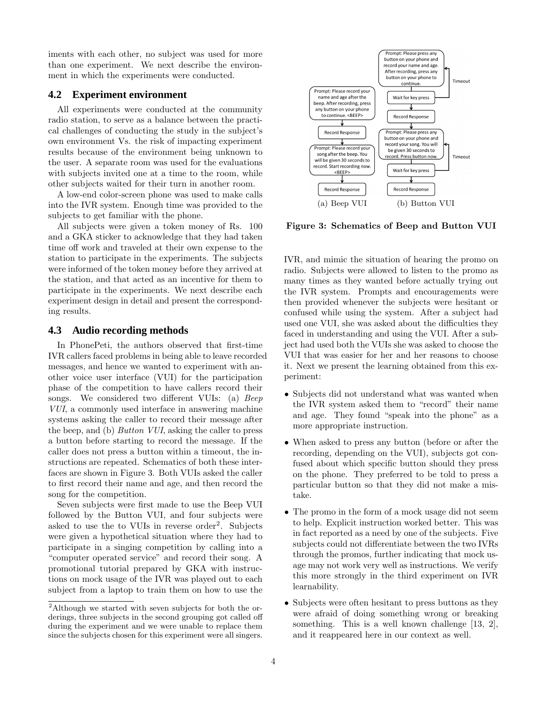iments with each other, no subject was used for more than one experiment. We next describe the environment in which the experiments were conducted.

# **4.2 Experiment environment**

All experiments were conducted at the community radio station, to serve as a balance between the practical challenges of conducting the study in the subject's own environment Vs. the risk of impacting experiment results because of the environment being unknown to the user. A separate room was used for the evaluations with subjects invited one at a time to the room, while other subjects waited for their turn in another room.

A low-end color-screen phone was used to make calls into the IVR system. Enough time was provided to the subjects to get familiar with the phone.

All subjects were given a token money of Rs. 100 and a GKA sticker to acknowledge that they had taken time off work and traveled at their own expense to the station to participate in the experiments. The subjects were informed of the token money before they arrived at the station, and that acted as an incentive for them to participate in the experiments. We next describe each experiment design in detail and present the corresponding results.

#### **4.3 Audio recording methods**

In PhonePeti, the authors observed that first-time IVR callers faced problems in being able to leave recorded messages, and hence we wanted to experiment with another voice user interface (VUI) for the participation phase of the competition to have callers record their songs. We considered two different VUIs: (a) Beep VUI, a commonly used interface in answering machine systems asking the caller to record their message after the beep, and (b) Button VUI, asking the caller to press a button before starting to record the message. If the caller does not press a button within a timeout, the instructions are repeated. Schematics of both these interfaces are shown in Figure 3. Both VUIs asked the caller to first record their name and age, and then record the song for the competition.

Seven subjects were first made to use the Beep VUI followed by the Button VUI, and four subjects were asked to use the to VUIs in reverse order<sup>2</sup>. Subjects were given a hypothetical situation where they had to participate in a singing competition by calling into a "computer operated service" and record their song. A promotional tutorial prepared by GKA with instructions on mock usage of the IVR was played out to each subject from a laptop to train them on how to use the



Figure 3: Schematics of Beep and Button VUI

IVR, and mimic the situation of hearing the promo on radio. Subjects were allowed to listen to the promo as many times as they wanted before actually trying out the IVR system. Prompts and encouragements were then provided whenever the subjects were hesitant or confused while using the system. After a subject had used one VUI, she was asked about the difficulties they faced in understanding and using the VUI. After a subject had used both the VUIs she was asked to choose the VUI that was easier for her and her reasons to choose it. Next we present the learning obtained from this experiment:

- Subjects did not understand what was wanted when the IVR system asked them to "record" their name and age. They found "speak into the phone" as a more appropriate instruction.
- When asked to press any button (before or after the recording, depending on the VUI), subjects got confused about which specific button should they press on the phone. They preferred to be told to press a particular button so that they did not make a mistake.
- The promo in the form of a mock usage did not seem to help. Explicit instruction worked better. This was in fact reported as a need by one of the subjects. Five subjects could not differentiate between the two IVRs through the promos, further indicating that mock usage may not work very well as instructions. We verify this more strongly in the third experiment on IVR learnability.
- Subjects were often hesitant to press buttons as they were afraid of doing something wrong or breaking something. This is a well known challenge [13, 2], and it reappeared here in our context as well.

<sup>2</sup>Although we started with seven subjects for both the orderings, three subjects in the second grouping got called off during the experiment and we were unable to replace them since the subjects chosen for this experiment were all singers.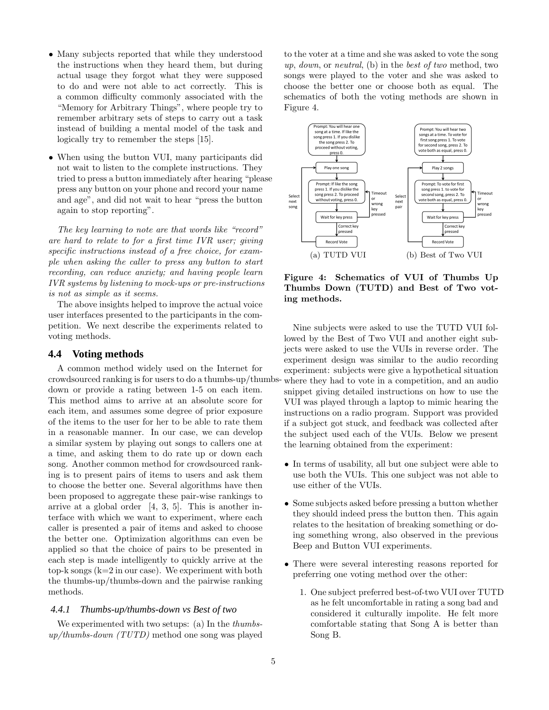- Many subjects reported that while they understood the instructions when they heard them, but during actual usage they forgot what they were supposed to do and were not able to act correctly. This is a common difficulty commonly associated with the "Memory for Arbitrary Things", where people try to remember arbitrary sets of steps to carry out a task instead of building a mental model of the task and logically try to remember the steps [15].
- When using the button VUI, many participants did not wait to listen to the complete instructions. They tried to press a button immediately after hearing "please press any button on your phone and record your name and age", and did not wait to hear "press the button again to stop reporting".

The key learning to note are that words like "record" are hard to relate to for a first time IVR user; giving specific instructions instead of a free choice, for example when asking the caller to press any button to start recording, can reduce anxiety; and having people learn IVR systems by listening to mock-ups or pre-instructions is not as simple as it seems.

The above insights helped to improve the actual voice user interfaces presented to the participants in the competition. We next describe the experiments related to voting methods.

#### **4.4 Voting methods**

A common method widely used on the Internet for crowdsourced ranking is for users to do a thumbs-up/thumbsdown or provide a rating between 1-5 on each item. This method aims to arrive at an absolute score for each item, and assumes some degree of prior exposure of the items to the user for her to be able to rate them in a reasonable manner. In our case, we can develop a similar system by playing out songs to callers one at a time, and asking them to do rate up or down each song. Another common method for crowdsourced ranking is to present pairs of items to users and ask them to choose the better one. Several algorithms have then been proposed to aggregate these pair-wise rankings to arrive at a global order  $[4, 3, 5]$ . This is another interface with which we want to experiment, where each caller is presented a pair of items and asked to choose the better one. Optimization algorithms can even be applied so that the choice of pairs to be presented in each step is made intelligently to quickly arrive at the  $top-k$  songs  $(k=2$  in our case). We experiment with both the thumbs-up/thumbs-down and the pairwise ranking methods.

#### *4.4.1 Thumbs-up/thumbs-down vs Best of two*

We experimented with two setups: (a) In the *thumbs* $up/thumbs-down (TUTD)$  method one song was played to the voter at a time and she was asked to vote the song up, down, or neutral, (b) in the best of two method, two songs were played to the voter and she was asked to choose the better one or choose both as equal. The schematics of both the voting methods are shown in Figure 4.



Figure 4: Schematics of VUI of Thumbs Up Thumbs Down (TUTD) and Best of Two voting methods.

Nine subjects were asked to use the TUTD VUI followed by the Best of Two VUI and another eight subjects were asked to use the VUIs in reverse order. The experiment design was similar to the audio recording experiment: subjects were give a hypothetical situation where they had to vote in a competition, and an audio snippet giving detailed instructions on how to use the VUI was played through a laptop to mimic hearing the instructions on a radio program. Support was provided if a subject got stuck, and feedback was collected after the subject used each of the VUIs. Below we present the learning obtained from the experiment:

- In terms of usability, all but one subject were able to use both the VUIs. This one subject was not able to use either of the VUIs.
- Some subjects asked before pressing a button whether they should indeed press the button then. This again relates to the hesitation of breaking something or doing something wrong, also observed in the previous Beep and Button VUI experiments.
- There were several interesting reasons reported for preferring one voting method over the other:
	- 1. One subject preferred best-of-two VUI over TUTD as he felt uncomfortable in rating a song bad and considered it culturally impolite. He felt more comfortable stating that Song A is better than Song B.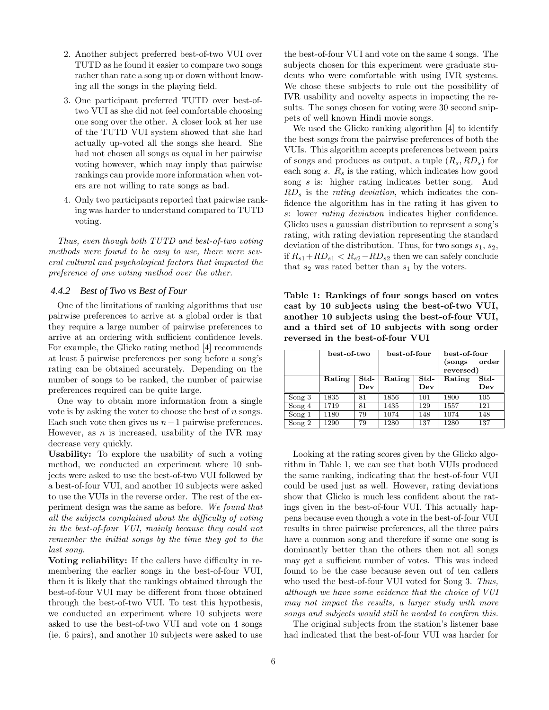- 2. Another subject preferred best-of-two VUI over TUTD as he found it easier to compare two songs rather than rate a song up or down without knowing all the songs in the playing field.
- 3. One participant preferred TUTD over best-oftwo VUI as she did not feel comfortable choosing one song over the other. A closer look at her use of the TUTD VUI system showed that she had actually up-voted all the songs she heard. She had not chosen all songs as equal in her pairwise voting however, which may imply that pairwise rankings can provide more information when voters are not willing to rate songs as bad.
- 4. Only two participants reported that pairwise ranking was harder to understand compared to TUTD voting.

Thus, even though both TUTD and best-of-two voting methods were found to be easy to use, there were several cultural and psychological factors that impacted the preference of one voting method over the other.

#### *4.4.2 Best of Two vs Best of Four*

One of the limitations of ranking algorithms that use pairwise preferences to arrive at a global order is that they require a large number of pairwise preferences to arrive at an ordering with sufficient confidence levels. For example, the Glicko rating method [4] recommends at least 5 pairwise preferences per song before a song's rating can be obtained accurately. Depending on the number of songs to be ranked, the number of pairwise preferences required can be quite large.

One way to obtain more information from a single vote is by asking the voter to choose the best of  $n$  songs. Each such vote then gives us  $n-1$  pairwise preferences. However, as  $n$  is increased, usability of the IVR may decrease very quickly.

Usability: To explore the usability of such a voting method, we conducted an experiment where 10 subjects were asked to use the best-of-two VUI followed by a best-of-four VUI, and another 10 subjects were asked to use the VUIs in the reverse order. The rest of the experiment design was the same as before. We found that all the subjects complained about the difficulty of voting in the best-of-four VUI, mainly because they could not remember the initial songs by the time they got to the last song.

Voting reliability: If the callers have difficulty in remembering the earlier songs in the best-of-four VUI, then it is likely that the rankings obtained through the best-of-four VUI may be different from those obtained through the best-of-two VUI. To test this hypothesis, we conducted an experiment where 10 subjects were asked to use the best-of-two VUI and vote on 4 songs (ie. 6 pairs), and another 10 subjects were asked to use

the best-of-four VUI and vote on the same 4 songs. The subjects chosen for this experiment were graduate students who were comfortable with using IVR systems. We chose these subjects to rule out the possibility of IVR usability and novelty aspects in impacting the results. The songs chosen for voting were 30 second snippets of well known Hindi movie songs.

We used the Glicko ranking algorithm [4] to identify the best songs from the pairwise preferences of both the VUIs. This algorithm accepts preferences between pairs of songs and produces as output, a tuple  $(R_s, RD_s)$  for each song  $s$ .  $R_s$  is the rating, which indicates how good song s is: higher rating indicates better song. And  $RD<sub>s</sub>$  is the *rating deviation*, which indicates the confidence the algorithm has in the rating it has given to s: lower rating deviation indicates higher confidence. Glicko uses a gaussian distribution to represent a song's rating, with rating deviation representing the standard deviation of the distribution. Thus, for two songs  $s_1$ ,  $s_2$ , if  $R_{s1}+RD_{s1} < R_{s2}-RD_{s2}$  then we can safely conclude that  $s_2$  was rated better than  $s_1$  by the voters.

Table 1: Rankings of four songs based on votes cast by 10 subjects using the best-of-two VUI, another 10 subjects using the best-of-four VUI, and a third set of 10 subjects with song order reversed in the best-of-four VUI

|          | best-of-two |             | best-of-four |                      | best-of-four<br>order<br>(songs)<br>reversed) |                        |
|----------|-------------|-------------|--------------|----------------------|-----------------------------------------------|------------------------|
|          | Rating      | Std-<br>Dev | Rating       | Std-<br>$\bold{Dev}$ | Rating                                        | Std-<br>$\mathbf{Dev}$ |
| Song $3$ | 1835        | 81          | 1856         | 101                  | 1800                                          | 105                    |
| Song $4$ | 1719        | 81          | 1435         | 129                  | 1557                                          | 121                    |
| Song $1$ | 1180        | 79          | 1074         | 148                  | 1074                                          | 148                    |
| Song $2$ | 1290        | 79          | 1280         | 137                  | 1280                                          | 137                    |

Looking at the rating scores given by the Glicko algorithm in Table 1, we can see that both VUIs produced the same ranking, indicating that the best-of-four VUI could be used just as well. However, rating deviations show that Glicko is much less confident about the ratings given in the best-of-four VUI. This actually happens because even though a vote in the best-of-four VUI results in three pairwise preferences, all the three pairs have a common song and therefore if some one song is dominantly better than the others then not all songs may get a sufficient number of votes. This was indeed found to be the case because seven out of ten callers who used the best-of-four VUI voted for Song 3. Thus, although we have some evidence that the choice of VUI may not impact the results, a larger study with more songs and subjects would still be needed to confirm this.

The original subjects from the station's listener base had indicated that the best-of-four VUI was harder for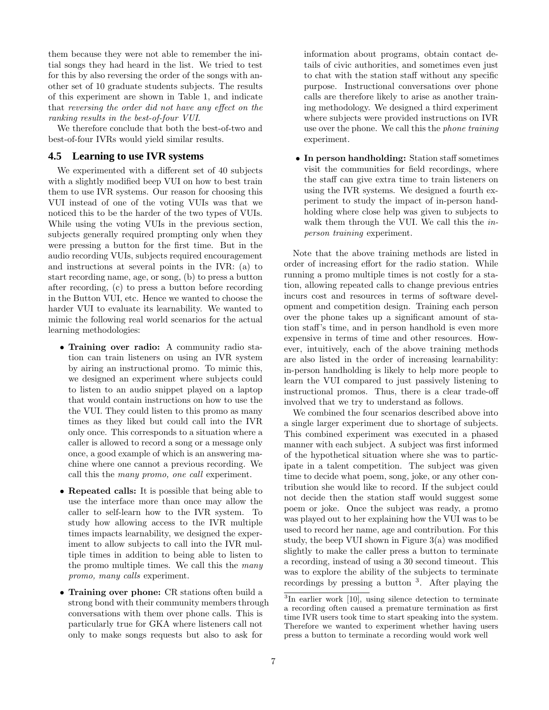them because they were not able to remember the initial songs they had heard in the list. We tried to test for this by also reversing the order of the songs with another set of 10 graduate students subjects. The results of this experiment are shown in Table 1, and indicate that reversing the order did not have any effect on the ranking results in the best-of-four VUI.

We therefore conclude that both the best-of-two and best-of-four IVRs would yield similar results.

#### **4.5 Learning to use IVR systems**

We experimented with a different set of 40 subjects with a slightly modified beep VUI on how to best train them to use IVR systems. Our reason for choosing this VUI instead of one of the voting VUIs was that we noticed this to be the harder of the two types of VUIs. While using the voting VUIs in the previous section, subjects generally required prompting only when they were pressing a button for the first time. But in the audio recording VUIs, subjects required encouragement and instructions at several points in the IVR: (a) to start recording name, age, or song, (b) to press a button after recording, (c) to press a button before recording in the Button VUI, etc. Hence we wanted to choose the harder VUI to evaluate its learnability. We wanted to mimic the following real world scenarios for the actual learning methodologies:

- Training over radio: A community radio station can train listeners on using an IVR system by airing an instructional promo. To mimic this, we designed an experiment where subjects could to listen to an audio snippet played on a laptop that would contain instructions on how to use the the VUI. They could listen to this promo as many times as they liked but could call into the IVR only once. This corresponds to a situation where a caller is allowed to record a song or a message only once, a good example of which is an answering machine where one cannot a previous recording. We call this the many promo, one call experiment.
- Repeated calls: It is possible that being able to use the interface more than once may allow the caller to self-learn how to the IVR system. To study how allowing access to the IVR multiple times impacts learnability, we designed the experiment to allow subjects to call into the IVR multiple times in addition to being able to listen to the promo multiple times. We call this the many promo, many calls experiment.
- Training over phone: CR stations often build a strong bond with their community members through conversations with them over phone calls. This is particularly true for GKA where listeners call not only to make songs requests but also to ask for

information about programs, obtain contact details of civic authorities, and sometimes even just to chat with the station staff without any specific purpose. Instructional conversations over phone calls are therefore likely to arise as another training methodology. We designed a third experiment where subjects were provided instructions on IVR use over the phone. We call this the phone training experiment.

• In person handholding: Station staff sometimes visit the communities for field recordings, where the staff can give extra time to train listeners on using the IVR systems. We designed a fourth experiment to study the impact of in-person handholding where close help was given to subjects to walk them through the VUI. We call this the  $in$ person training experiment.

Note that the above training methods are listed in order of increasing effort for the radio station. While running a promo multiple times is not costly for a station, allowing repeated calls to change previous entries incurs cost and resources in terms of software development and competition design. Training each person over the phone takes up a significant amount of station staff's time, and in person handhold is even more expensive in terms of time and other resources. However, intuitively, each of the above training methods are also listed in the order of increasing learnability: in-person handholding is likely to help more people to learn the VUI compared to just passively listening to instructional promos. Thus, there is a clear trade-off involved that we try to understand as follows.

We combined the four scenarios described above into a single larger experiment due to shortage of subjects. This combined experiment was executed in a phased manner with each subject. A subject was first informed of the hypothetical situation where she was to participate in a talent competition. The subject was given time to decide what poem, song, joke, or any other contribution she would like to record. If the subject could not decide then the station staff would suggest some poem or joke. Once the subject was ready, a promo was played out to her explaining how the VUI was to be used to record her name, age and contribution. For this study, the beep VUI shown in Figure 3(a) was modified slightly to make the caller press a button to terminate a recording, instead of using a 30 second timeout. This was to explore the ability of the subjects to terminate recordings by pressing a button <sup>3</sup> . After playing the

<sup>&</sup>lt;sup>3</sup>In earlier work [10], using silence detection to terminate a recording often caused a premature termination as first time IVR users took time to start speaking into the system. Therefore we wanted to experiment whether having users press a button to terminate a recording would work well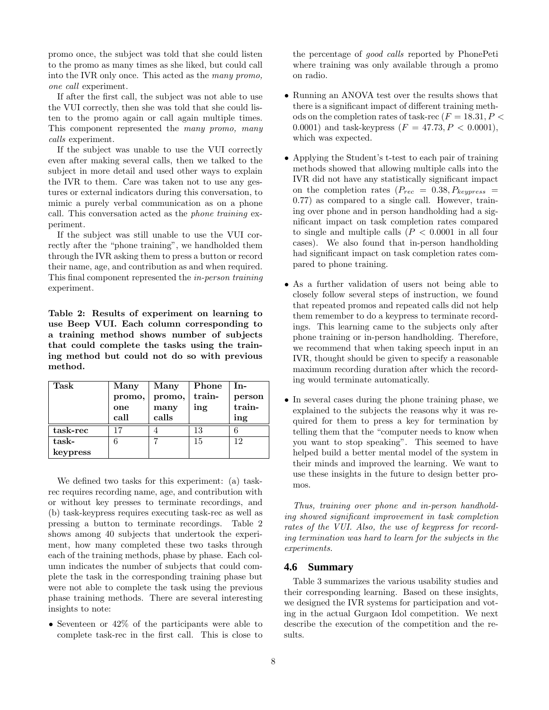promo once, the subject was told that she could listen to the promo as many times as she liked, but could call into the IVR only once. This acted as the many promo, one call experiment.

If after the first call, the subject was not able to use the VUI correctly, then she was told that she could listen to the promo again or call again multiple times. This component represented the many promo, many calls experiment.

If the subject was unable to use the VUI correctly even after making several calls, then we talked to the subject in more detail and used other ways to explain the IVR to them. Care was taken not to use any gestures or external indicators during this conversation, to mimic a purely verbal communication as on a phone call. This conversation acted as the phone training experiment.

If the subject was still unable to use the VUI correctly after the "phone training", we handholded them through the IVR asking them to press a button or record their name, age, and contribution as and when required. This final component represented the in-person training experiment.

Table 2: Results of experiment on learning to use Beep VUI. Each column corresponding to a training method shows number of subjects that could complete the tasks using the training method but could not do so with previous method.

| Task     | Many   | Many   | Phone  | In-    |
|----------|--------|--------|--------|--------|
|          | promo, | promo, | train- | person |
|          | one    | many   | ing    | train- |
|          | call   | calls  |        | ing    |
| task-rec | 17     |        | 13     |        |
| task-    |        |        | 15     | 12     |
| keypress |        |        |        |        |

We defined two tasks for this experiment: (a) taskrec requires recording name, age, and contribution with or without key presses to terminate recordings, and (b) task-keypress requires executing task-rec as well as pressing a button to terminate recordings. Table 2 shows among 40 subjects that undertook the experiment, how many completed these two tasks through each of the training methods, phase by phase. Each column indicates the number of subjects that could complete the task in the corresponding training phase but were not able to complete the task using the previous phase training methods. There are several interesting insights to note:

• Seventeen or 42% of the participants were able to complete task-rec in the first call. This is close to the percentage of good calls reported by PhonePeti where training was only available through a promo on radio.

- Running an ANOVA test over the results shows that there is a significant impact of different training methods on the completion rates of task-rec  $(F = 18.31, P <$ 0.0001) and task-keypress  $(F = 47.73, P < 0.0001)$ , which was expected.
- Applying the Student's t-test to each pair of training methods showed that allowing multiple calls into the IVR did not have any statistically significant impact on the completion rates  $(P_{rec} = 0.38, P_{keypress} =$ 0.77) as compared to a single call. However, training over phone and in person handholding had a significant impact on task completion rates compared to single and multiple calls  $(P < 0.0001$  in all four cases). We also found that in-person handholding had significant impact on task completion rates compared to phone training.
- As a further validation of users not being able to closely follow several steps of instruction, we found that repeated promos and repeated calls did not help them remember to do a keypress to terminate recordings. This learning came to the subjects only after phone training or in-person handholding. Therefore, we recommend that when taking speech input in an IVR, thought should be given to specify a reasonable maximum recording duration after which the recording would terminate automatically.
- In several cases during the phone training phase, we explained to the subjects the reasons why it was required for them to press a key for termination by telling them that the "computer needs to know when you want to stop speaking". This seemed to have helped build a better mental model of the system in their minds and improved the learning. We want to use these insights in the future to design better promos.

Thus, training over phone and in-person handholding showed significant improvement in task completion rates of the VUI. Also, the use of keypress for recording termination was hard to learn for the subjects in the experiments.

# **4.6 Summary**

Table 3 summarizes the various usability studies and their corresponding learning. Based on these insights, we designed the IVR systems for participation and voting in the actual Gurgaon Idol competition. We next describe the execution of the competition and the results.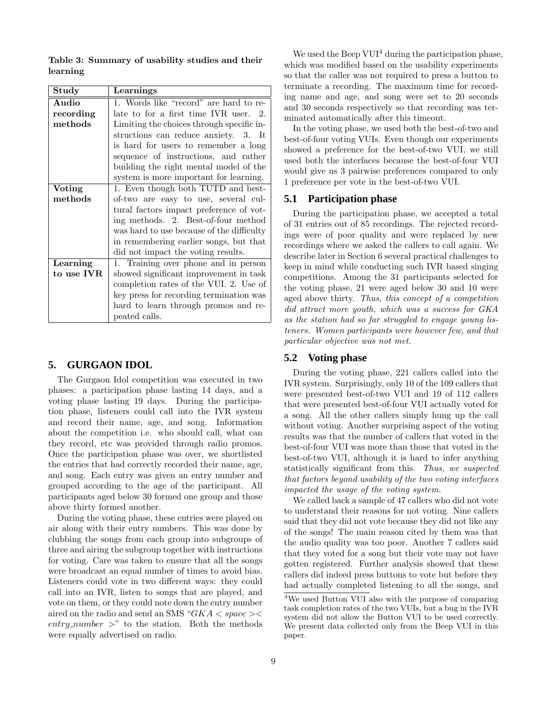| Study      | Learnings                                 |
|------------|-------------------------------------------|
| Audio      | 1. Words like "record" are hard to re-    |
| recording  | late to for a first time IVR user. 2.     |
| methods    | Limiting the choices through specific in- |
|            | structions can reduce anxiety. 3. It      |
|            | is hard for users to remember a long      |
|            | sequence of instructions, and rather      |
|            | building the right mental model of the    |
|            | system is more important for learning.    |
| Voting     | 1. Even though both TUTD and best-        |
| methods    | of-two are easy to use, several cul-      |
|            | tural factors impact preference of vot-   |
|            | ing methods. 2. Best-of-four method       |
|            | was hard to use because of the difficulty |
|            | in remembering earlier songs, but that    |
|            | did not impact the voting results.        |
| Learning   | 1. Training over phone and in person      |
| to use IVR | showed significant improvement in task    |
|            | completion rates of the VUI. 2. Use of    |
|            | key press for recording termination was   |
|            | hard to learn through promos and re-      |
|            | peated calls.                             |

Table 3: Summary of usability studies and their learning

# **5. GURGAON IDOL**

The Gurgaon Idol competition was executed in two phases: a participation phase lasting 14 days, and a voting phase lasting 19 days. During the participation phase, listeners could call into the IVR system and record their name, age, and song. Information about the competition i.e. who should call, what can they record, etc was provided through radio promos. Once the participation phase was over, we shortlisted the entries that had correctly recorded their name, age, and song. Each entry was given an entry number and grouped according to the age of the participant. All participants aged below 30 formed one group and those above thirty formed another.

During the voting phase, these entries were played on air along with their entry numbers. This was done by clubbing the songs from each group into subgroups of three and airing the subgroup together with instructions for voting. Care was taken to ensure that all the songs were broadcast an equal number of times to avoid bias. Listeners could vote in two different ways: they could call into an IVR, listen to songs that are played, and vote on them, or they could note down the entry number aired on the radio and send an SMS " $GKA < space$ )  $entry_number > "$  to the station. Both the methods were equally advertised on radio.

We used the Beep  $VUI<sup>4</sup>$  during the participation phase, which was modified based on the usability experiments so that the caller was not required to press a button to terminate a recording. The maximum time for recording name and age, and song were set to 20 seconds and 30 seconds respectively so that recording was terminated automatically after this timeout.

In the voting phase, we used both the best-of-two and best-of-four voting VUIs. Even though our experiments showed a preference for the best-of-two VUI, we still used both the interfaces because the best-of-four VUI would give us 3 pairwise preferences compared to only 1 preference per vote in the best-of-two VUI.

#### **5.1 Participation phase**

During the participation phase, we accepted a total of 31 entries out of 85 recordings. The rejected recordings were of poor quality and were replaced by new recordings where we asked the callers to call again. We describe later in Section 6 several practical challenges to keep in mind while conducting such IVR based singing competitions. Among the 31 participants selected for the voting phase, 21 were aged below 30 and 10 were aged above thirty. Thus, this concept of a competition did attract more youth, which was a success for GKA as the station had so far struggled to engage young listeners. Women participants were however few, and that particular objective was not met.

#### **5.2 Voting phase**

During the voting phase, 221 callers called into the IVR system. Surprisingly, only 10 of the 109 callers that were presented best-of-two VUI and 19 of 112 callers that were presented best-of-four VUI actually voted for a song. All the other callers simply hung up the call without voting. Another surprising aspect of the voting results was that the number of callers that voted in the best-of-four VUI was more than those that voted in the best-of-two VUI, although it is hard to infer anything statistically significant from this. Thus, we suspected that factors beyond usability of the two voting interfaces impacted the usage of the voting system.

We called back a sample of 47 callers who did not vote to understand their reasons for not voting. Nine callers said that they did not vote because they did not like any of the songs! The main reason cited by them was that the audio quality was too poor. Another 7 callers said that they voted for a song but their vote may not have gotten registered. Further analysis showed that these callers did indeed press buttons to vote but before they had actually completed listening to all the songs, and

<sup>4</sup>We used Button VUI also with the purpose of comparing task completion rates of the two VUIs, but a bug in the IVR system did not allow the Button VUI to be used correctly. We present data collected only from the Beep VUI in this paper.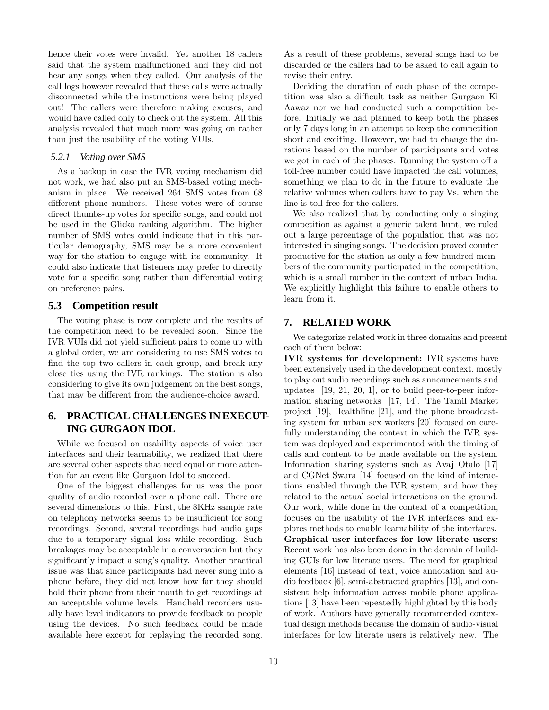hence their votes were invalid. Yet another 18 callers said that the system malfunctioned and they did not hear any songs when they called. Our analysis of the call logs however revealed that these calls were actually disconnected while the instructions were being played out! The callers were therefore making excuses, and would have called only to check out the system. All this analysis revealed that much more was going on rather than just the usability of the voting VUIs.

#### *5.2.1 Voting over SMS*

As a backup in case the IVR voting mechanism did not work, we had also put an SMS-based voting mechanism in place. We received 264 SMS votes from 68 different phone numbers. These votes were of course direct thumbs-up votes for specific songs, and could not be used in the Glicko ranking algorithm. The higher number of SMS votes could indicate that in this particular demography, SMS may be a more convenient way for the station to engage with its community. It could also indicate that listeners may prefer to directly vote for a specific song rather than differential voting on preference pairs.

# **5.3 Competition result**

The voting phase is now complete and the results of the competition need to be revealed soon. Since the IVR VUIs did not yield sufficient pairs to come up with a global order, we are considering to use SMS votes to find the top two callers in each group, and break any close ties using the IVR rankings. The station is also considering to give its own judgement on the best songs, that may be different from the audience-choice award.

# **6. PRACTICAL CHALLENGES IN EXECUT-ING GURGAON IDOL**

While we focused on usability aspects of voice user interfaces and their learnability, we realized that there are several other aspects that need equal or more attention for an event like Gurgaon Idol to succeed.

One of the biggest challenges for us was the poor quality of audio recorded over a phone call. There are several dimensions to this. First, the 8KHz sample rate on telephony networks seems to be insufficient for song recordings. Second, several recordings had audio gaps due to a temporary signal loss while recording. Such breakages may be acceptable in a conversation but they significantly impact a song's quality. Another practical issue was that since participants had never sung into a phone before, they did not know how far they should hold their phone from their mouth to get recordings at an acceptable volume levels. Handheld recorders usually have level indicators to provide feedback to people using the devices. No such feedback could be made available here except for replaying the recorded song.

As a result of these problems, several songs had to be discarded or the callers had to be asked to call again to revise their entry.

Deciding the duration of each phase of the competition was also a difficult task as neither Gurgaon Ki Aawaz nor we had conducted such a competition before. Initially we had planned to keep both the phases only 7 days long in an attempt to keep the competition short and exciting. However, we had to change the durations based on the number of participants and votes we got in each of the phases. Running the system off a toll-free number could have impacted the call volumes, something we plan to do in the future to evaluate the relative volumes when callers have to pay Vs. when the line is toll-free for the callers.

We also realized that by conducting only a singing competition as against a generic talent hunt, we ruled out a large percentage of the population that was not interested in singing songs. The decision proved counter productive for the station as only a few hundred members of the community participated in the competition, which is a small number in the context of urban India. We explicitly highlight this failure to enable others to learn from it.

# **7. RELATED WORK**

We categorize related work in three domains and present each of them below:

IVR systems for development: IVR systems have been extensively used in the development context, mostly to play out audio recordings such as announcements and updates [19, 21, 20, 1], or to build peer-to-peer information sharing networks [17, 14]. The Tamil Market project [19], Healthline [21], and the phone broadcasting system for urban sex workers [20] focused on carefully understanding the context in which the IVR system was deployed and experimented with the timing of calls and content to be made available on the system. Information sharing systems such as Avaj Otalo [17] and CGNet Swara [14] focused on the kind of interactions enabled through the IVR system, and how they related to the actual social interactions on the ground. Our work, while done in the context of a competition, focuses on the usability of the IVR interfaces and explores methods to enable learnability of the interfaces. Graphical user interfaces for low literate users: Recent work has also been done in the domain of building GUIs for low literate users. The need for graphical elements [16] instead of text, voice annotation and audio feedback [6], semi-abstracted graphics [13], and consistent help information across mobile phone applications [13] have been repeatedly highlighted by this body of work. Authors have generally recommended contextual design methods because the domain of audio-visual interfaces for low literate users is relatively new. The